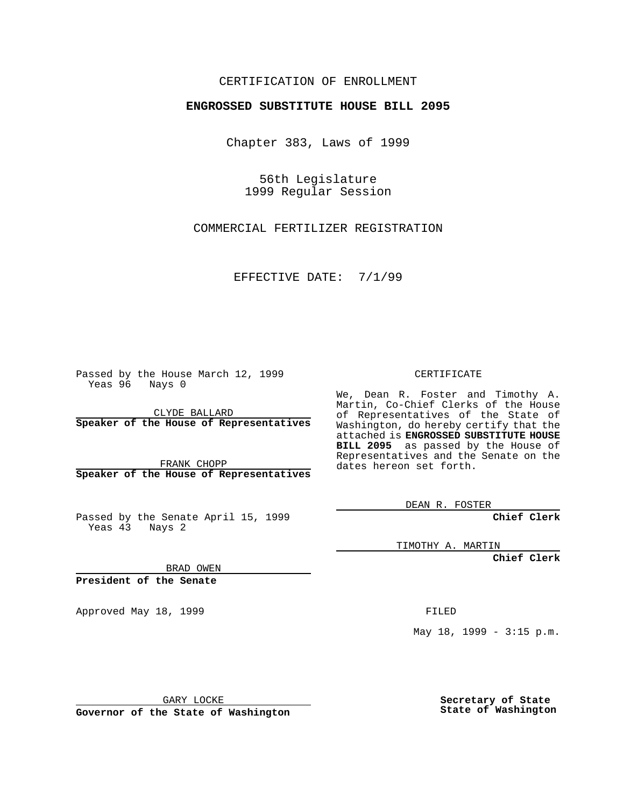## CERTIFICATION OF ENROLLMENT

## **ENGROSSED SUBSTITUTE HOUSE BILL 2095**

Chapter 383, Laws of 1999

56th Legislature 1999 Regular Session

COMMERCIAL FERTILIZER REGISTRATION

EFFECTIVE DATE: 7/1/99

Passed by the House March 12, 1999 Yeas 96 Nays 0

CLYDE BALLARD **Speaker of the House of Representatives**

FRANK CHOPP **Speaker of the House of Representatives**

Passed by the Senate April 15, 1999 Yeas 43 Nays 2

CERTIFICATE

We, Dean R. Foster and Timothy A. Martin, Co-Chief Clerks of the House of Representatives of the State of Washington, do hereby certify that the attached is **ENGROSSED SUBSTITUTE HOUSE BILL 2095** as passed by the House of Representatives and the Senate on the dates hereon set forth.

DEAN R. FOSTER

**Chief Clerk**

TIMOTHY A. MARTIN

**Chief Clerk**

BRAD OWEN

**President of the Senate**

Approved May 18, 1999 **FILED** 

May 18, 1999 - 3:15 p.m.

GARY LOCKE

**Governor of the State of Washington**

**Secretary of State State of Washington**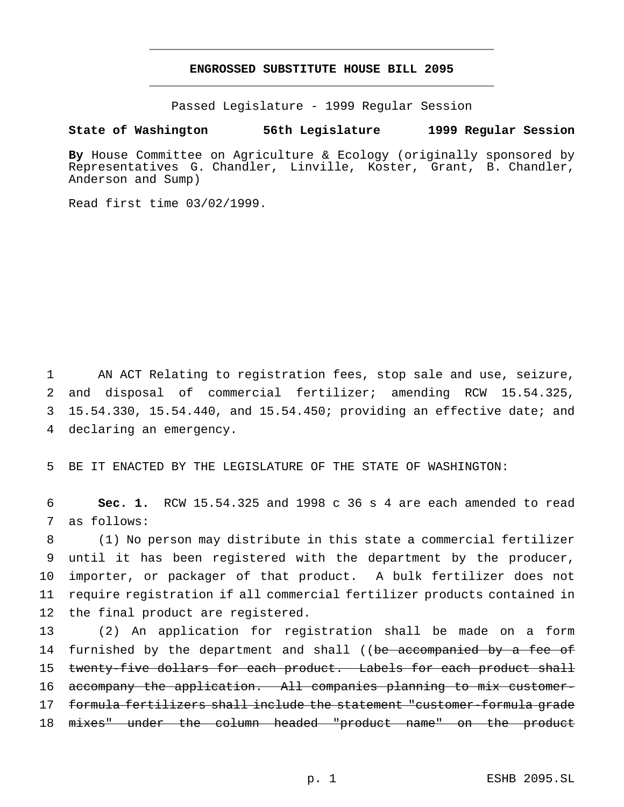## **ENGROSSED SUBSTITUTE HOUSE BILL 2095** \_\_\_\_\_\_\_\_\_\_\_\_\_\_\_\_\_\_\_\_\_\_\_\_\_\_\_\_\_\_\_\_\_\_\_\_\_\_\_\_\_\_\_\_\_\_\_

\_\_\_\_\_\_\_\_\_\_\_\_\_\_\_\_\_\_\_\_\_\_\_\_\_\_\_\_\_\_\_\_\_\_\_\_\_\_\_\_\_\_\_\_\_\_\_

Passed Legislature - 1999 Regular Session

## **State of Washington 56th Legislature 1999 Regular Session**

**By** House Committee on Agriculture & Ecology (originally sponsored by Representatives G. Chandler, Linville, Koster, Grant, B. Chandler, Anderson and Sump)

Read first time 03/02/1999.

 AN ACT Relating to registration fees, stop sale and use, seizure, and disposal of commercial fertilizer; amending RCW 15.54.325, 15.54.330, 15.54.440, and 15.54.450; providing an effective date; and declaring an emergency.

5 BE IT ENACTED BY THE LEGISLATURE OF THE STATE OF WASHINGTON:

6 **Sec. 1.** RCW 15.54.325 and 1998 c 36 s 4 are each amended to read 7 as follows:

 (1) No person may distribute in this state a commercial fertilizer until it has been registered with the department by the producer, importer, or packager of that product. A bulk fertilizer does not require registration if all commercial fertilizer products contained in the final product are registered.

13 (2) An application for registration shall be made on a form 14 furnished by the department and shall ((be accompanied by a fee of 15 twenty-five dollars for each product. Labels for each product shall 16 accompany the application. All companies planning to mix customer-17 formula fertilizers shall include the statement "customer-formula grade 18 mixes" under the column headed "product name" on the product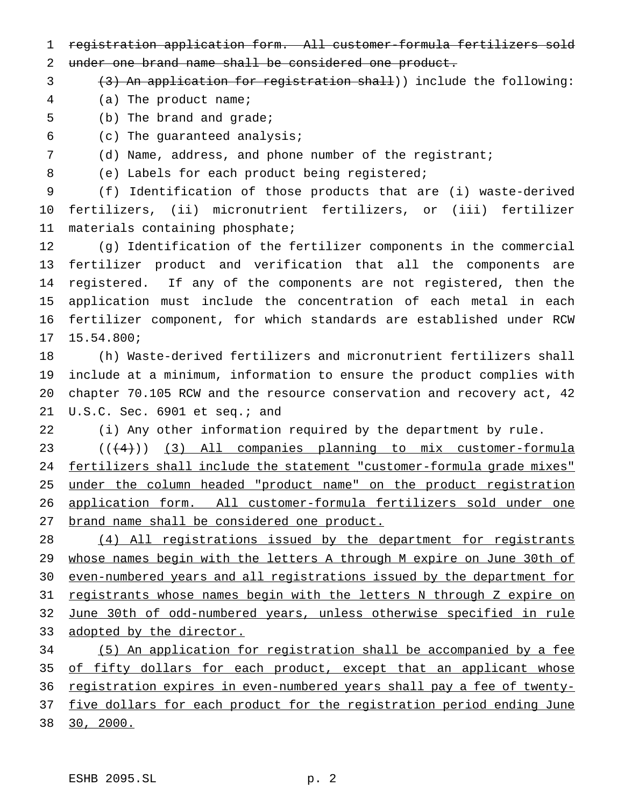- registration application form. All customer-formula fertilizers sold
- under one brand name shall be considered one product.
- 3 (3) An application for registration shall)) include the following:
- (a) The product name;
- (b) The brand and grade;
- (c) The guaranteed analysis;
- (d) Name, address, and phone number of the registrant;
- 8 (e) Labels for each product being registered;

 (f) Identification of those products that are (i) waste-derived fertilizers, (ii) micronutrient fertilizers, or (iii) fertilizer materials containing phosphate;

 (g) Identification of the fertilizer components in the commercial fertilizer product and verification that all the components are registered. If any of the components are not registered, then the application must include the concentration of each metal in each fertilizer component, for which standards are established under RCW 15.54.800;

 (h) Waste-derived fertilizers and micronutrient fertilizers shall include at a minimum, information to ensure the product complies with chapter 70.105 RCW and the resource conservation and recovery act, 42 21 U.S.C. Sec. 6901 et seq.; and

(i) Any other information required by the department by rule.

23 (((4))) (3) All companies planning to mix customer-formula fertilizers shall include the statement "customer-formula grade mixes" 25 under the column headed "product name" on the product registration application form. All customer-formula fertilizers sold under one brand name shall be considered one product.

 (4) All registrations issued by the department for registrants whose names begin with the letters A through M expire on June 30th of even-numbered years and all registrations issued by the department for registrants whose names begin with the letters N through Z expire on June 30th of odd-numbered years, unless otherwise specified in rule adopted by the director.

 (5) An application for registration shall be accompanied by a fee 35 of fifty dollars for each product, except that an applicant whose 36 registration expires in even-numbered years shall pay a fee of twenty-37 five dollars for each product for the registration period ending June 30, 2000.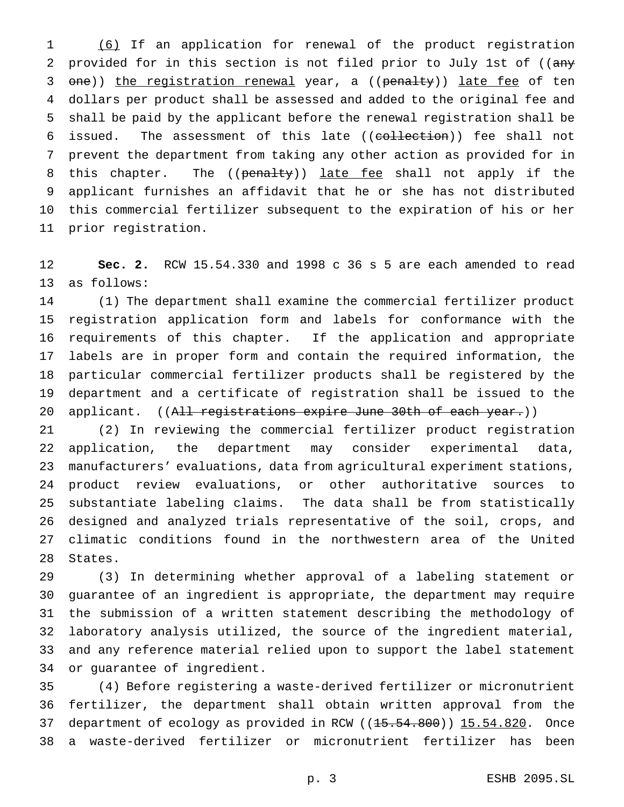(6) If an application for renewal of the product registration 2 provided for in this section is not filed prior to July 1st of ((any 3 one)) the registration renewal year, a ((penalty)) late fee of ten dollars per product shall be assessed and added to the original fee and shall be paid by the applicant before the renewal registration shall be 6 issued. The assessment of this late ((collection)) fee shall not prevent the department from taking any other action as provided for in 8 this chapter. The ((penalty)) late fee shall not apply if the applicant furnishes an affidavit that he or she has not distributed this commercial fertilizer subsequent to the expiration of his or her prior registration.

 **Sec. 2.** RCW 15.54.330 and 1998 c 36 s 5 are each amended to read as follows:

 (1) The department shall examine the commercial fertilizer product registration application form and labels for conformance with the requirements of this chapter. If the application and appropriate labels are in proper form and contain the required information, the particular commercial fertilizer products shall be registered by the department and a certificate of registration shall be issued to the 20 applicant. ((All registrations expire June 30th of each year.))

 (2) In reviewing the commercial fertilizer product registration application, the department may consider experimental data, manufacturers' evaluations, data from agricultural experiment stations, product review evaluations, or other authoritative sources to substantiate labeling claims. The data shall be from statistically designed and analyzed trials representative of the soil, crops, and climatic conditions found in the northwestern area of the United States.

 (3) In determining whether approval of a labeling statement or guarantee of an ingredient is appropriate, the department may require the submission of a written statement describing the methodology of laboratory analysis utilized, the source of the ingredient material, and any reference material relied upon to support the label statement or guarantee of ingredient.

 (4) Before registering a waste-derived fertilizer or micronutrient fertilizer, the department shall obtain written approval from the 37 department of ecology as provided in RCW ((15.54.800)) 15.54.820. Once a waste-derived fertilizer or micronutrient fertilizer has been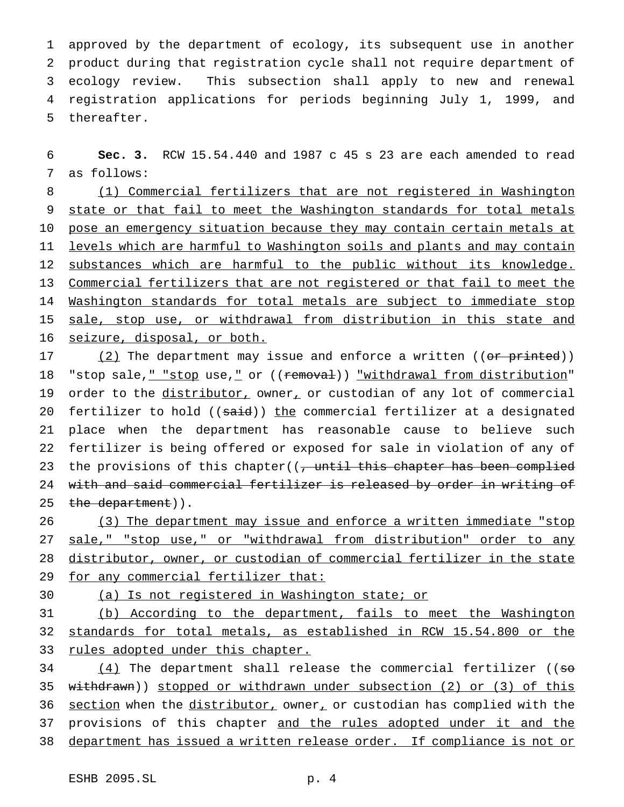approved by the department of ecology, its subsequent use in another product during that registration cycle shall not require department of ecology review. This subsection shall apply to new and renewal registration applications for periods beginning July 1, 1999, and thereafter.

6 **Sec. 3.** RCW 15.54.440 and 1987 c 45 s 23 are each amended to read 7 as follows:

8 (1) Commercial fertilizers that are not registered in Washington 9 state or that fail to meet the Washington standards for total metals 10 pose an emergency situation because they may contain certain metals at 11 levels which are harmful to Washington soils and plants and may contain 12 substances which are harmful to the public without its knowledge. 13 Commercial fertilizers that are not registered or that fail to meet the 14 Washington standards for total metals are subject to immediate stop 15 sale, stop use, or withdrawal from distribution in this state and 16 seizure, disposal, or both.

17  $(2)$  The department may issue and enforce a written ((or printed)) 18 "stop sale, " "stop use, " or ((removal)) "withdrawal from distribution" 19 order to the distributor, owner, or custodian of any lot of commercial 20 fertilizer to hold ((said)) the commercial fertilizer at a designated 21 place when the department has reasonable cause to believe such 22 fertilizer is being offered or exposed for sale in violation of any of 23 the provisions of this chapter((, until this chapter has been complied 24 with and said commercial fertilizer is released by order in writing of 25 the department)).

26 (3) The department may issue and enforce a written immediate "stop 27 sale," "stop use," or "withdrawal from distribution" order to any 28 distributor, owner, or custodian of commercial fertilizer in the state 29 for any commercial fertilizer that:

30 (a) Is not registered in Washington state; or

31 (b) According to the department, fails to meet the Washington 32 standards for total metals, as established in RCW 15.54.800 or the 33 rules adopted under this chapter.

 $(4)$  The department shall release the commercial fertilizer ((so withdrawn)) stopped or withdrawn under subsection (2) or (3) of this 36 section when the distributor, owner, or custodian has complied with the provisions of this chapter and the rules adopted under it and the department has issued a written release order. If compliance is not or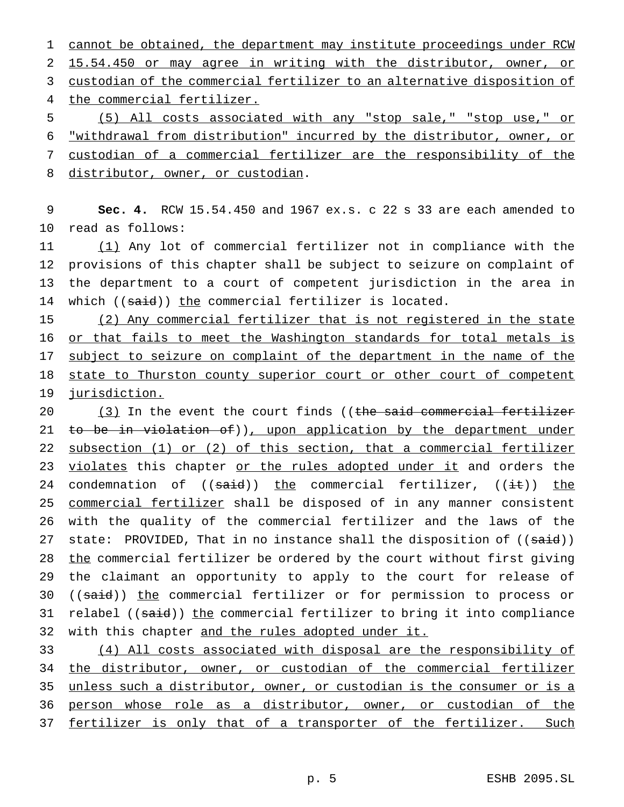1 cannot be obtained, the department may institute proceedings under RCW 15.54.450 or may agree in writing with the distributor, owner, or custodian of the commercial fertilizer to an alternative disposition of the commercial fertilizer. (5) All costs associated with any "stop sale," "stop use," or "withdrawal from distribution" incurred by the distributor, owner, or

7 custodian of a commercial fertilizer are the responsibility of the 8 distributor, owner, or custodian.

9 **Sec. 4.** RCW 15.54.450 and 1967 ex.s. c 22 s 33 are each amended to 10 read as follows:

 (1) Any lot of commercial fertilizer not in compliance with the provisions of this chapter shall be subject to seizure on complaint of the department to a court of competent jurisdiction in the area in 14 which ((said)) the commercial fertilizer is located.

15 (2) Any commercial fertilizer that is not registered in the state 16 or that fails to meet the Washington standards for total metals is 17 subject to seizure on complaint of the department in the name of the 18 state to Thurston county superior court or other court of competent 19 jurisdiction.

20 (3) In the event the court finds ((the said commercial fertilizer 21 to be in violation of)), upon application by the department under 22 subsection (1) or (2) of this section, that a commercial fertilizer 23 violates this chapter or the rules adopted under it and orders the 24 condemnation of  $((said))$  the commercial fertilizer,  $((i.t))$  the 25 commercial fertilizer shall be disposed of in any manner consistent 26 with the quality of the commercial fertilizer and the laws of the 27 state: PROVIDED, That in no instance shall the disposition of  $((\text{said}))$ 28 the commercial fertilizer be ordered by the court without first giving 29 the claimant an opportunity to apply to the court for release of 30 ((said)) the commercial fertilizer or for permission to process or 31 relabel ((said)) the commercial fertilizer to bring it into compliance 32 with this chapter and the rules adopted under it.

 (4) All costs associated with disposal are the responsibility of the distributor, owner, or custodian of the commercial fertilizer unless such a distributor, owner, or custodian is the consumer or is a person whose role as a distributor, owner, or custodian of the fertilizer is only that of a transporter of the fertilizer. Such